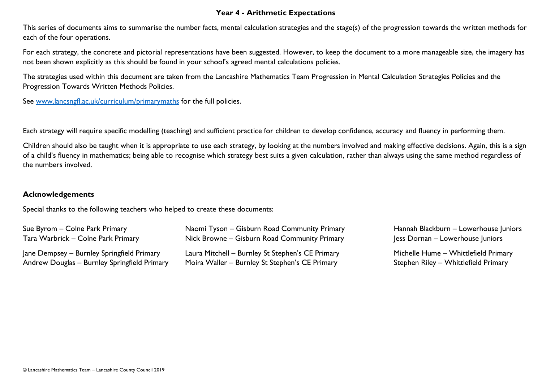## **Year 4 - Arithmetic Expectations**

This series of documents aims to summarise the number facts, mental calculation strategies and the stage(s) of the progression towards the written methods for each of the four operations.

For each strategy, the concrete and pictorial representations have been suggested. However, to keep the document to a more manageable size, the imagery has not been shown explicitly as this should be found in your school's agreed mental calculations policies.

The strategies used within this document are taken from the Lancashire Mathematics Team Progression in Mental Calculation Strategies Policies and the Progression Towards Written Methods Policies.

See [www.lancsngfl.ac.uk/curriculum/primarymaths](http://www.lancsngfl.ac.uk/curriculum/primarymaths) for the full policies.

Each strategy will require specific modelling (teaching) and sufficient practice for children to develop confidence, accuracy and fluency in performing them.

Children should also be taught when it is appropriate to use each strategy, by looking at the numbers involved and making effective decisions. Again, this is a sign of a child's fluency in mathematics; being able to recognise which strategy best suits a given calculation, rather than always using the same method regardless of the numbers involved.

## **Acknowledgements**

Special thanks to the following teachers who helped to create these documents:

| Sue Byrom – Colne Park Primary               | Naomi Tyson – Gisburn Road Community Primary     | Hannah Blackburn - Lowerhouse Juniors |
|----------------------------------------------|--------------------------------------------------|---------------------------------------|
| Tara Warbrick – Colne Park Primary           | Nick Browne – Gisburn Road Community Primary     | Jess Dornan – Lowerhouse Juniors      |
| Jane Dempsey – Burnley Springfield Primary   | Laura Mitchell - Burnley St Stephen's CE Primary | Michelle Hume - Whittlefield Primary  |
| Andrew Douglas - Burnley Springfield Primary | Moira Waller – Burnley St Stephen's CE Primary   | Stephen Riley - Whittlefield Primary  |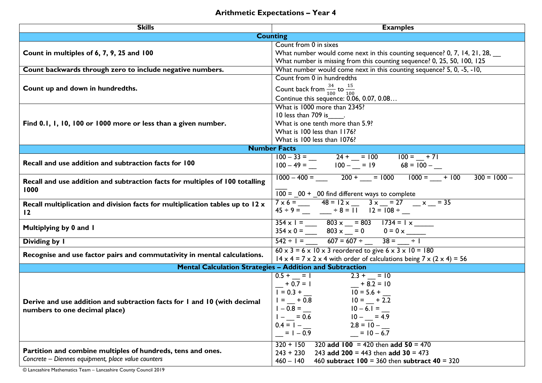## **Arithmetic Expectations – Year 4**

| <b>Skills</b>                                                                   | <b>Examples</b>                                                                                                                                                                  |  |  |  |
|---------------------------------------------------------------------------------|----------------------------------------------------------------------------------------------------------------------------------------------------------------------------------|--|--|--|
| <b>Counting</b>                                                                 |                                                                                                                                                                                  |  |  |  |
|                                                                                 | Count from 0 in sixes                                                                                                                                                            |  |  |  |
| Count in multiples of 6, 7, 9, 25 and 100                                       | What number would come next in this counting sequence? 0, 7, 14, 21, 28,                                                                                                         |  |  |  |
|                                                                                 | What number is missing from this counting sequence? 0, 25, 50, 100, 125                                                                                                          |  |  |  |
| Count backwards through zero to include negative numbers.                       | What number would come next in this counting sequence? 5, 0, -5, -10,                                                                                                            |  |  |  |
|                                                                                 | Count from 0 in hundredths                                                                                                                                                       |  |  |  |
| Count up and down in hundredths.                                                | Count back from $\frac{34}{100}$ to $\frac{15}{100}$                                                                                                                             |  |  |  |
|                                                                                 | Continue this sequence: 0.06, 0.07, 0.08                                                                                                                                         |  |  |  |
|                                                                                 | What is 1000 more than 2345?                                                                                                                                                     |  |  |  |
|                                                                                 | 10 less than 709 is                                                                                                                                                              |  |  |  |
| Find 0.1, 1, 10, 100 or 1000 more or less than a given number.                  | What is one tenth more than 5.9?                                                                                                                                                 |  |  |  |
|                                                                                 | What is 100 less than 1176?                                                                                                                                                      |  |  |  |
|                                                                                 | What is 100 less than 1076?                                                                                                                                                      |  |  |  |
| <b>Number Facts</b>                                                             |                                                                                                                                                                                  |  |  |  |
| Recall and use addition and subtraction facts for 100                           | $100-33 =$<br>$100-49 =$<br>$100-$<br>$100-$<br>$100-$<br>$100-$<br>$100-$<br>$100-$<br>$100-$<br>$100-$<br>$100-$<br>$100-$                                                     |  |  |  |
|                                                                                 |                                                                                                                                                                                  |  |  |  |
|                                                                                 | $1000 - 400 =$ 200 + = 1000 1000 = + 100<br>$300 = 1000 -$                                                                                                                       |  |  |  |
| Recall and use addition and subtraction facts for multiples of 100 totalling    |                                                                                                                                                                                  |  |  |  |
| 1000                                                                            | $100 = 00 + 00$ find different ways to complete                                                                                                                                  |  |  |  |
| Recall multiplication and division facts for multiplication tables up to $12 x$ | $7 \times 6 =$ $ 48 = 12 \times 3 \times 1 = 27$ $- \times 7 = 35$                                                                                                               |  |  |  |
| $\overline{12}$                                                                 | $45 \div 9 =$ $ \div 8 = 11$ $12 = 108 \div$                                                                                                                                     |  |  |  |
|                                                                                 |                                                                                                                                                                                  |  |  |  |
| Multiplying by 0 and 1                                                          | $\frac{354 \times 1 = \_}{354 \times 0 = \_}$ $\frac{803 \times 1 = 803 \times 1734 = 1 \times 1734}{803 \times 1 = 0} = 0$ $\frac{1734 = 1 \times 1734}{0 = 0 \times 1734} = 0$ |  |  |  |
|                                                                                 |                                                                                                                                                                                  |  |  |  |
| Dividing by I                                                                   |                                                                                                                                                                                  |  |  |  |
| Recognise and use factor pairs and commutativity in mental calculations.        | $60 \times 3 = 6 \times 10 \times 3$ reordered to give $6 \times 3 \times 10 = 180$                                                                                              |  |  |  |
|                                                                                 | $14 \times 4 = 7 \times 2 \times 4$ with order of calculations being $7 \times (2 \times 4) = 56$                                                                                |  |  |  |
|                                                                                 | <b>Mental Calculation Strategies - Addition and Subtraction</b>                                                                                                                  |  |  |  |
|                                                                                 | $0.5 + = 1$ 2.3 + = 10                                                                                                                                                           |  |  |  |
|                                                                                 | $-$ + 0.7 = 1<br>$-$ + 0.7 = 1<br>$-$ + 0.7 = 1<br>$-$ + 0.7 = 1<br>$-$ + 8.2 = 10<br>$-$ + 8.2 = 10<br>$-$ + 8.2 = 10<br>$-$ + 8.2 = 10<br>$-$ + 8.2 = 10<br>$-$ + 8.2 = 10     |  |  |  |
|                                                                                 |                                                                                                                                                                                  |  |  |  |
| Derive and use addition and subtraction facts for 1 and 10 (with decimal        | $10 - 6.1 =$<br>$1 - 0.8 =$                                                                                                                                                      |  |  |  |
| numbers to one decimal place)                                                   | $10 - 7 = 4.9$<br>$= 0.6$                                                                                                                                                        |  |  |  |
|                                                                                 | $2.8 = 10 -$<br>$0.4 = 1 -$                                                                                                                                                      |  |  |  |
|                                                                                 | $= 10 - 6.7$<br>$= 1 - 0.9$                                                                                                                                                      |  |  |  |
|                                                                                 |                                                                                                                                                                                  |  |  |  |
| Partition and combine multiples of hundreds, tens and ones.                     | 320 add $100 = 420$ then add $50 = 470$<br>$320 + 150$                                                                                                                           |  |  |  |
| Concrete - Diennes equipment, place value counters                              | $243 + 230$<br>243 add 200 = 443 then add 30 = 473                                                                                                                               |  |  |  |
|                                                                                 | $460 - 140$<br>460 subtract $100 = 360$ then subtract $40 = 320$                                                                                                                 |  |  |  |

© Lancashire Mathematics Team – Lancashire County Council 2019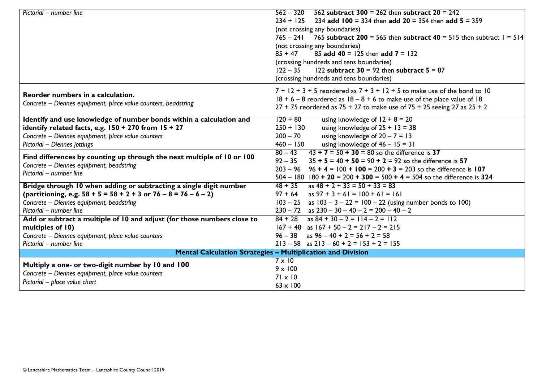| Pictorial - number line                                                 | 562 subtract 300 = 262 then subtract $20 = 242$<br>$562 - 320$                  |  |  |  |
|-------------------------------------------------------------------------|---------------------------------------------------------------------------------|--|--|--|
|                                                                         | $234 + 125$ 234 add 100 = 334 then add 20 = 354 then add 5 = 359                |  |  |  |
|                                                                         | (not crossing any boundaries)                                                   |  |  |  |
|                                                                         | $765 - 241$ 765 subtract 200 = 565 then subtract 40 = 515 then subtract 1 = 514 |  |  |  |
|                                                                         | (not crossing any boundaries)                                                   |  |  |  |
|                                                                         | 85 add 40 = 125 then add $7 = 132$<br>$85 + 47$                                 |  |  |  |
|                                                                         | (crossing hundreds and tens boundaries)                                         |  |  |  |
|                                                                         | 122 subtract $30 = 92$ then subtract $5 = 87$<br>$122 - 35$                     |  |  |  |
|                                                                         | (crossing hundreds and tens boundaries)                                         |  |  |  |
| Reorder numbers in a calculation.                                       | $7 + 12 + 3 + 5$ reordered as $7 + 3 + 12 + 5$ to make use of the bond to 10    |  |  |  |
|                                                                         | $18 + 6 - 8$ reordered as $18 - 8 + 6$ to make use of the place value of 18     |  |  |  |
| Concrete – Diennes equipment, place value counters, beadstring          | $27 + 75$ reordered as $75 + 27$ to make use of $75 + 25$ seeing 27 as $25 + 2$ |  |  |  |
| Identify and use knowledge of number bonds within a calculation and     | $120 + 80$<br>using knowledge of $12 + 8 = 20$                                  |  |  |  |
| identify related facts, e.g. $150 + 270$ from $15 + 27$                 | $250 + 130$<br>using knowledge of $25 + 13 = 38$                                |  |  |  |
| Concrete - Diennes equipment, place value counters                      | $200 - 70$<br>using knowledge of $20 - 7 = 13$                                  |  |  |  |
| Pictorial - Diennes jottings                                            | using knowledge of $46 - 15 = 31$<br>$460 - 150$                                |  |  |  |
|                                                                         | $43 + 7 = 50 + 30 = 80$ so the difference is 37<br>$80 - 43$                    |  |  |  |
| Find differences by counting up through the next multiple of 10 or 100  | $92 - 35$<br>$35 + 5 = 40 + 50 = 90 + 2 = 92$ so the difference is 57           |  |  |  |
| Concrete - Diennes equipment, beadstring<br>Pictorial – number line     | $203 - 96$ 96 + 4 = 100 + 100 = 200 + 3 = 203 so the difference is 107          |  |  |  |
|                                                                         | $504 - 180$ 180 + 20 = 200 + 300 = 500 + 4 = 504 so the difference is 324       |  |  |  |
| Bridge through 10 when adding or subtracting a single digit number      | $48 + 35$<br>as $48 + 2 + 33 = 50 + 33 = 83$                                    |  |  |  |
| (partitioning, e.g. $58 + 5 = 58 + 2 + 3$ or $76 - 8 = 76 - 6 - 2$ )    | $97 + 64$ as $97 + 3 + 61 = 100 + 61 = 161$                                     |  |  |  |
| Concrete - Diennes equipment, beadstring                                | $103 - 25$ as $103 - 3 - 22 = 100 - 22$ (using number bonds to 100)             |  |  |  |
| Pictorial – number line                                                 | $230 - 72$ as $230 - 30 - 40 - 2 = 200 - 40 - 2$                                |  |  |  |
| Add or subtract a multiple of 10 and adjust (for those numbers close to | $84 + 28$ as $84 + 30 - 2 = 114 - 2 = 112$                                      |  |  |  |
| multiples of 10)                                                        | $167 + 48$ as $167 + 50 - 2 = 217 - 2 = 215$                                    |  |  |  |
| Concrete - Diennes equipment, place value counters                      | as $96 - 40 + 2 = 56 + 2 = 58$<br>$96 - 38$                                     |  |  |  |
| Pictorial – number line                                                 | $213 - 58$ as $213 - 60 + 2 = 153 + 2 = 155$                                    |  |  |  |
| <b>Mental Calculation Strategies - Multiplication and Division</b>      |                                                                                 |  |  |  |
| Multiply a one- or two-digit number by 10 and 100                       | $7 \times 10$                                                                   |  |  |  |
| Concrete - Diennes equipment, place value counters                      | $9 \times 100$                                                                  |  |  |  |
| Pictorial - place value chart                                           | $71 \times 10$                                                                  |  |  |  |
|                                                                         | $63 \times 100$                                                                 |  |  |  |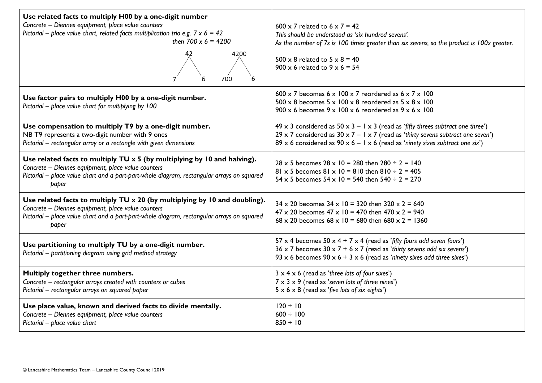| Use related facts to multiply H00 by a one-digit number<br>Concrete - Diennes equipment, place value counters<br>Pictorial – place value chart, related facts multiplication trio e.g. $7 \times 6 = 42$<br>then $700 \times 6 = 4200$<br>4200<br>700 | $600 \times 7$ related to $6 \times 7 = 42$<br>This should be understood as 'six hundred sevens'.<br>As the number of 7s is 100 times greater than six sevens, so the product is 100x greater.<br>$500 \times 8$ related to $5 \times 8 = 40$<br>$900 \times 6$ related to $9 \times 6 = 54$ |  |  |
|-------------------------------------------------------------------------------------------------------------------------------------------------------------------------------------------------------------------------------------------------------|----------------------------------------------------------------------------------------------------------------------------------------------------------------------------------------------------------------------------------------------------------------------------------------------|--|--|
| Use factor pairs to multiply H00 by a one-digit number.<br>Pictorial - place value chart for multiplying by 100                                                                                                                                       | 600 x 7 becomes $6 \times 100 \times 7$ reordered as $6 \times 7 \times 100$<br>$500 \times 8$ becomes $5 \times 100 \times 8$ reordered as $5 \times 8 \times 100$<br>$900 \times 6$ becomes $9 \times 100 \times 6$ reordered as $9 \times 6 \times 100$                                   |  |  |
| Use compensation to multiply T9 by a one-digit number.<br>NB T9 represents a two-digit number with 9 ones<br>Pictorial - rectangular array or a rectangle with given dimensions                                                                       | 49 x 3 considered as 50 x 3 – 1 x 3 (read as 'fifty threes subtract one three')<br>29 x 7 considered as $30 \times 7 - 1 \times 7$ (read as 'thirty sevens subtract one seven')<br>89 x 6 considered as 90 x 6 - 1 x 6 (read as 'ninety sixes subtract one six')                             |  |  |
| Use related facts to multiply $TU \times 5$ (by multiplying by 10 and halving).<br>Concrete - Diennes equipment, place value counters<br>Pictorial - place value chart and a part-part-whole diagram, rectangular arrays on squared<br>paper          | $28 \times 5$ becomes $28 \times 10 = 280$ then $280 \div 2 = 140$<br>81 x 5 becomes 81 x 10 = 810 then 810 ÷ 2 = 405<br>54 x 5 becomes $54 \times 10 = 540$ then $540 \div 2 = 270$                                                                                                         |  |  |
| Use related facts to multiply $TU \times 20$ (by multiplying by 10 and doubling).<br>Concrete - Diennes equipment, place value counters<br>Pictorial - place value chart and a part-part-whole diagram, rectangular arrays on squared<br>paper        | $34 \times 20$ becomes $34 \times 10 = 320$ then $320 \times 2 = 640$<br>$47 \times 20$ becomes $47 \times 10 = 470$ then $470 \times 2 = 940$<br>$68 \times 20$ becomes $68 \times 10 = 680$ then $680 \times 2 = 1360$                                                                     |  |  |
| Use partitioning to multiply TU by a one-digit number.<br>Pictorial - partitioning diagram using grid method strategy                                                                                                                                 | 57 x 4 becomes $50 \times 4 + 7 \times 4$ (read as 'fifty fours add seven fours')<br>36 x 7 becomes $30 \times 7 + 6 \times 7$ (read as 'thirty sevens add six sevens')<br>93 x 6 becomes $90 \times 6 + 3 \times 6$ (read as 'ninety sixes add three sixes')                                |  |  |
| Multiply together three numbers.<br>Concrete - rectangular arrays created with counters or cubes<br>Pictorial - rectangular arrays on squared paper                                                                                                   | $3 \times 4 \times 6$ (read as 'three lots of four sixes')<br>$7 \times 3 \times 9$ (read as 'seven lots of three nines')<br>$5 \times 6 \times 8$ (read as 'five lots of six eights')                                                                                                       |  |  |
| Use place value, known and derived facts to divide mentally.<br>Concrete - Diennes equipment, place value counters<br>Pictorial - place value chart                                                                                                   | $120 \div 10$<br>$600 \div 100$<br>$850 \div 10$                                                                                                                                                                                                                                             |  |  |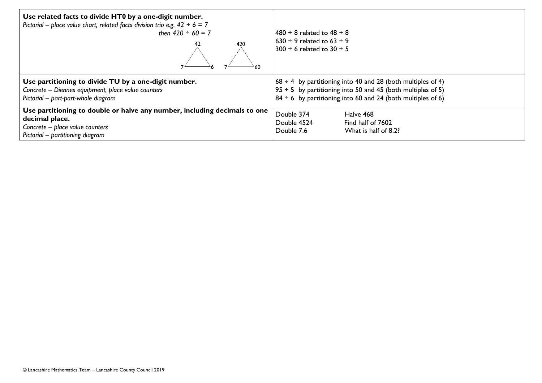| Use related facts to divide HT0 by a one-digit number.<br>Pictorial – place value chart, related facts division trio e.g. $42 \div 6 = 7$<br>then $420 \div 60 = 7$<br>420 | $480 \div 8$ related to $48 \div 8$<br>$630 \div 9$ related to $63 \div 9$<br>$300 \div 6$ related to $30 \div 5$                                                                                        |  |
|----------------------------------------------------------------------------------------------------------------------------------------------------------------------------|----------------------------------------------------------------------------------------------------------------------------------------------------------------------------------------------------------|--|
| Use partitioning to divide TU by a one-digit number.<br>Concrete - Diennes equipment, place value counters<br>Pictorial - part-part-whole diagram                          | $68 \div 4$ by partitioning into 40 and 28 (both multiples of 4)<br>$95 \div 5$ by partitioning into 50 and 45 (both multiples of 5)<br>$84 \div 6$ by partitioning into 60 and 24 (both multiples of 6) |  |
| Use partitioning to double or halve any number, including decimals to one<br>decimal place.<br>Concrete - place value counters<br>Pictorial - partitioning diagram         | Double 374<br>Halve 468<br>Double 4524<br>Find half of 7602<br>Double 7.6<br>What is half of 8.2?                                                                                                        |  |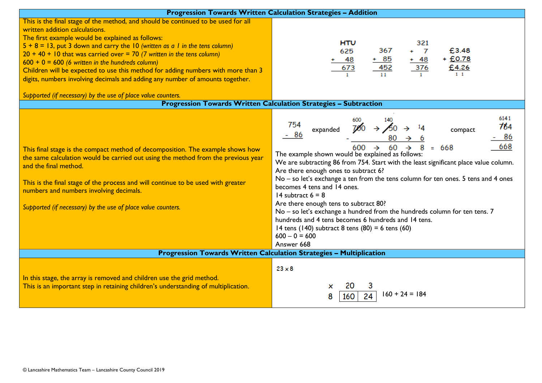| Progression Towards Written Calculation Strategies - Addition                                                                                                                                                                                                                                                                                                                               |                                                                                                                                                                                                                                                                                                                                                                                                                                                                                                                                                                                                                                                                                                             |  |  |  |
|---------------------------------------------------------------------------------------------------------------------------------------------------------------------------------------------------------------------------------------------------------------------------------------------------------------------------------------------------------------------------------------------|-------------------------------------------------------------------------------------------------------------------------------------------------------------------------------------------------------------------------------------------------------------------------------------------------------------------------------------------------------------------------------------------------------------------------------------------------------------------------------------------------------------------------------------------------------------------------------------------------------------------------------------------------------------------------------------------------------------|--|--|--|
| This is the final stage of the method, and should be continued to be used for all<br>written addition calculations.<br>The first example would be explained as follows:                                                                                                                                                                                                                     |                                                                                                                                                                                                                                                                                                                                                                                                                                                                                                                                                                                                                                                                                                             |  |  |  |
| $5 + 8 = 13$ , put 3 down and carry the 10 (written as a 1 in the tens column)                                                                                                                                                                                                                                                                                                              | <b>HTU</b><br>321                                                                                                                                                                                                                                                                                                                                                                                                                                                                                                                                                                                                                                                                                           |  |  |  |
| $20 + 40 + 10$ that was carried over = 70 (7 written in the tens column)                                                                                                                                                                                                                                                                                                                    | 367<br>£3.48<br>625                                                                                                                                                                                                                                                                                                                                                                                                                                                                                                                                                                                                                                                                                         |  |  |  |
| $600 + 0 = 600$ (6 written in the hundreds column)                                                                                                                                                                                                                                                                                                                                          | $+£0.78$<br>$+ 85$<br>$+ 48$<br>-48                                                                                                                                                                                                                                                                                                                                                                                                                                                                                                                                                                                                                                                                         |  |  |  |
| Children will be expected to use this method for adding numbers with more than 3                                                                                                                                                                                                                                                                                                            | 452<br>376<br>673<br>£4.26<br>$1\quad1$                                                                                                                                                                                                                                                                                                                                                                                                                                                                                                                                                                                                                                                                     |  |  |  |
| digits, numbers involving decimals and adding any number of amounts together.                                                                                                                                                                                                                                                                                                               |                                                                                                                                                                                                                                                                                                                                                                                                                                                                                                                                                                                                                                                                                                             |  |  |  |
| Supported (if necessary) by the use of place value counters.                                                                                                                                                                                                                                                                                                                                |                                                                                                                                                                                                                                                                                                                                                                                                                                                                                                                                                                                                                                                                                                             |  |  |  |
|                                                                                                                                                                                                                                                                                                                                                                                             | <b>Progression Towards Written Calculation Strategies - Subtraction</b>                                                                                                                                                                                                                                                                                                                                                                                                                                                                                                                                                                                                                                     |  |  |  |
| This final stage is the compact method of decomposition. The example shows how<br>the same calculation would be carried out using the method from the previous year<br>and the final method.<br>This is the final stage of the process and will continue to be used with greater<br>numbers and numbers involving decimals.<br>Supported (if necessary) by the use of place value counters. | 6141<br>140<br>754<br>764<br>$700 \rightarrow 60$<br>expanded<br>compact<br>86<br>668<br>600<br>$\rightarrow$<br>$= 668$<br>The example shown would be explained as follows:<br>We are subtracting 86 from 754. Start with the least significant place value column.<br>Are there enough ones to subtract 6?<br>No - so let's exchange a ten from the tens column for ten ones. 5 tens and 4 ones<br>becomes 4 tens and 14 ones.<br>14 subtract $6 = 8$<br>Are there enough tens to subtract 80?<br>No - so let's exchange a hundred from the hundreds column for ten tens. 7<br>hundreds and 4 tens becomes 6 hundreds and 14 tens.<br>14 tens (140) subtract 8 tens (80) = 6 tens (60)<br>$600 - 0 = 600$ |  |  |  |
|                                                                                                                                                                                                                                                                                                                                                                                             | Answer 668                                                                                                                                                                                                                                                                                                                                                                                                                                                                                                                                                                                                                                                                                                  |  |  |  |
| <b>Progression Towards Written Calculation Strategies - Multiplication</b>                                                                                                                                                                                                                                                                                                                  |                                                                                                                                                                                                                                                                                                                                                                                                                                                                                                                                                                                                                                                                                                             |  |  |  |
| In this stage, the array is removed and children use the grid method.<br>This is an important step in retaining children's understanding of multiplication.                                                                                                                                                                                                                                 | $23 \times 8$<br>×<br>$160 + 24 = 184$<br>160                                                                                                                                                                                                                                                                                                                                                                                                                                                                                                                                                                                                                                                               |  |  |  |